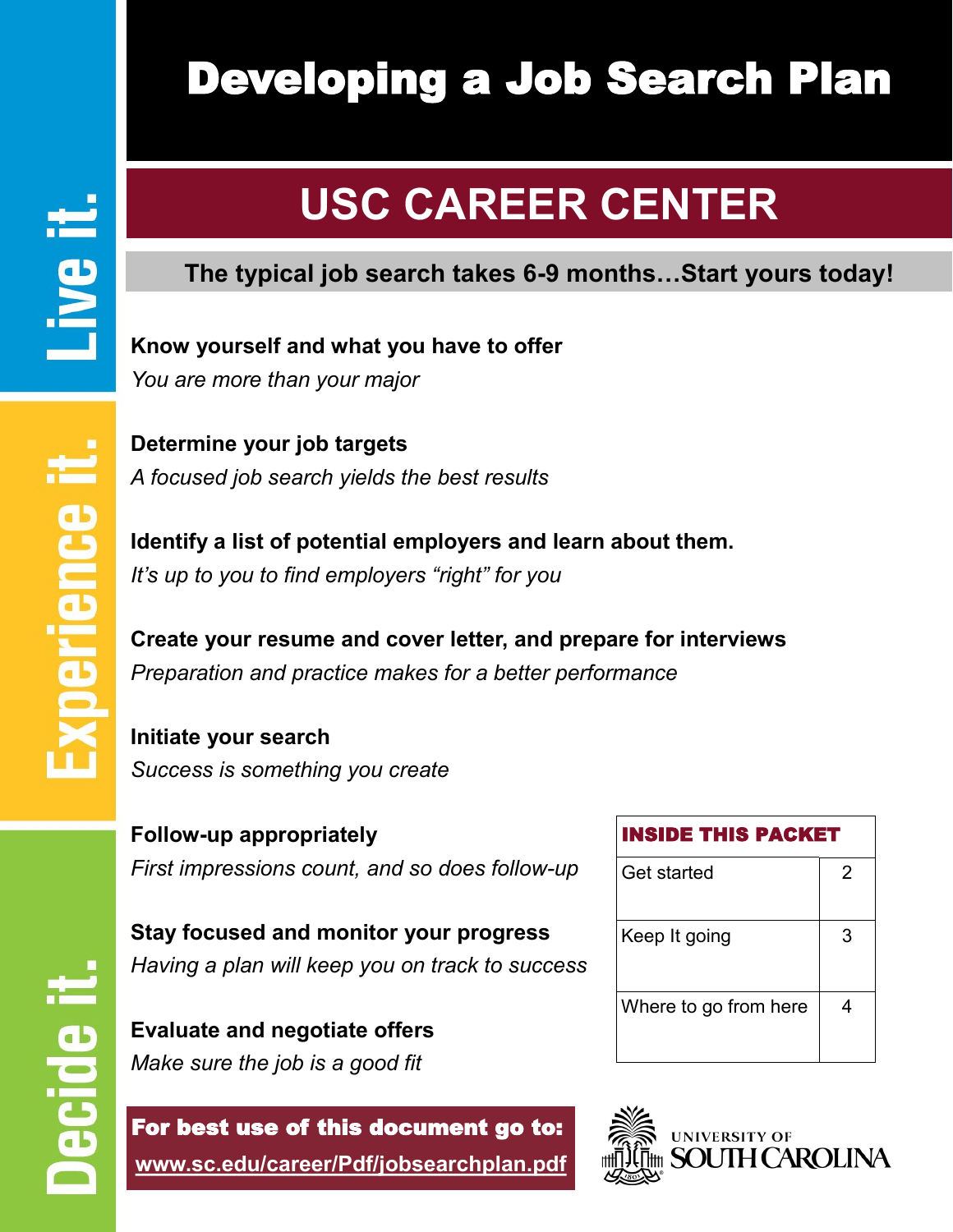# Developing a Job Search Plan

# **USC CAREER CENTER**

# **EER CENTER The typical job search takes 6-9 months…Start yours today!**

**Know yourself and what you have to offer** *You are more than your major*

**Determine your job targets** *A focused job search yields the best results*

**Identify a list of potential employers and learn about them.** *It's up to you to find employers "right" for you* 

**Create your resume and cover letter, and prepare for interviews** *Preparation and practice makes for a better performance*

**Initiate your search** *Success is something you create*

**Follow-up appropriately**  *First impressions count, and so does follow-up*

**Stay focused and monitor your progress** *Having a plan will keep you on track to success*

**Evaluate and negotiate offers** *Make sure the job is a good fit*

For best use of this document go to: **www.sc.edu/career/Pdf/jobsearchplan.pdf**

| <b>INSIDE THIS PACKET</b> |   |
|---------------------------|---|
| Get started               | 2 |
| Keep It going             | З |
| Where to go from here     |   |



ecide

Live it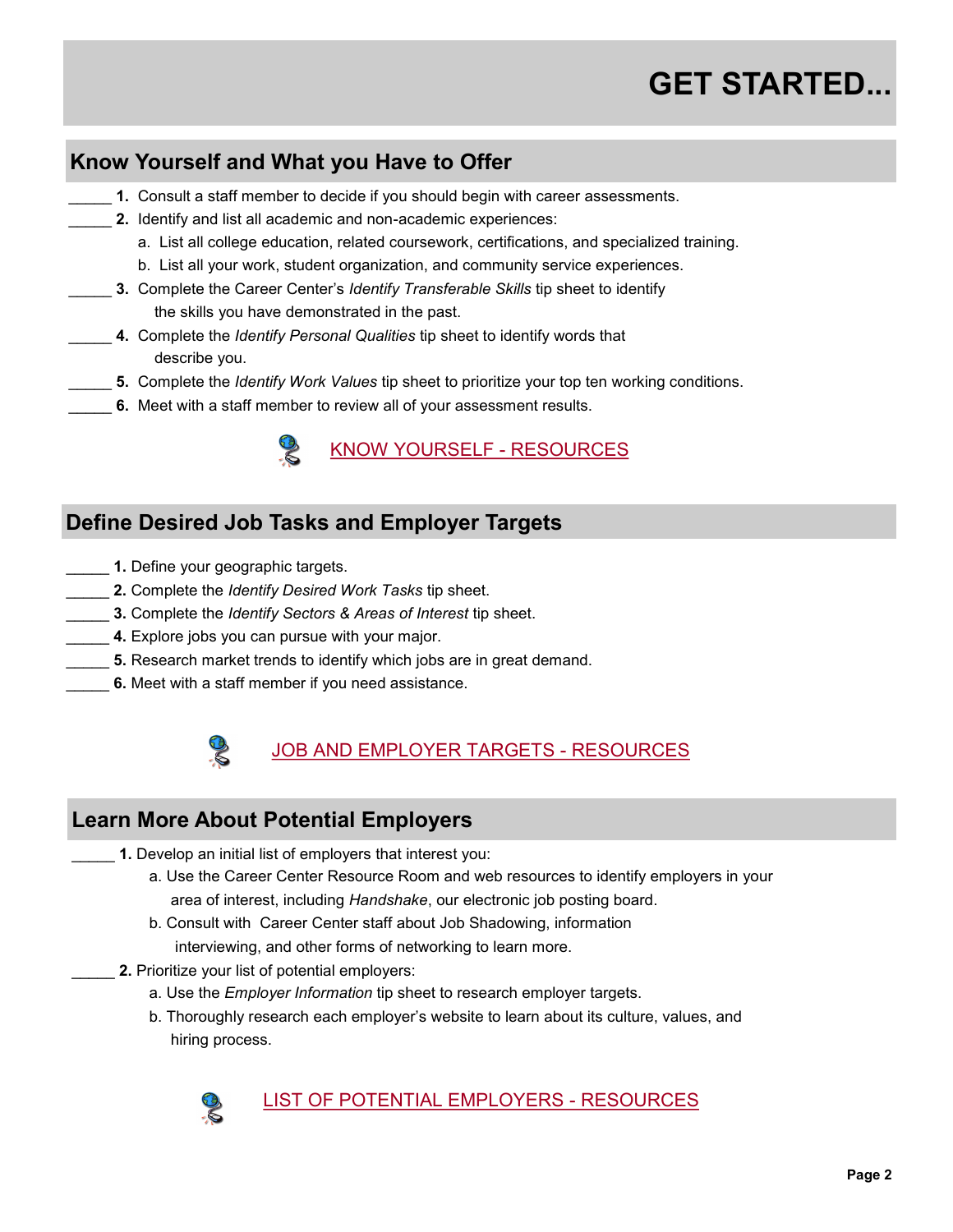# **GET STARTED...**

# **Know Yourself and What you Have to Offer**

- 1. Consult a staff member to decide if you should begin with career assessments.
- 2. Identify and list all academic and non-academic experiences:
	- a. List all college education, related coursework, certifications, and specialized training.
	- b. List all your work, student organization, and community service experiences.
- \_\_\_\_\_ **3.** Complete the Career Center's *Identify Transferable Skills* tip sheet to identify the skills you have demonstrated in the past.
- \_\_\_\_\_ **4.** Complete the *Identify Personal Qualities* tip sheet to identify words that describe you.
- \_\_\_\_\_ **5.** Complete the *Identify Work Values* tip sheet to prioritize your top ten working conditions.
- 6. Meet with a staff member to review all of your assessment results.



### **Define Desired Job Tasks and Employer Targets**

- **1.** Define your geographic targets.
- \_\_\_\_\_ **2.** Complete the *Identify Desired Work Tasks* tip sheet.
- \_\_\_\_\_ **3.** Complete the *Identify Sectors & Areas of Interest* tip sheet.
- 4. Explore jobs you can pursue with your major.
- **5.** Research market trends to identify which jobs are in great demand.
- 6. Meet with a staff member if you need assistance.



# JOB AND EMPLOYER TARGETS - RESOURCES

## **Learn More About Potential Employers**

- **1.** Develop an initial list of employers that interest you:
	- a. Use the Career Center Resource Room and web resources to identify employers in your area of interest, including *Handshake*, our electronic job posting board.
	- b. Consult with Career Center staff about Job Shadowing, information interviewing, and other forms of networking to learn more.
	- 2. Prioritize your list of potential employers:
		- a. Use the *Employer Information* tip sheet to research employer targets.
		- b. Thoroughly research each employer's website to learn about its culture, values, and hiring process.



#### LIST OF POTENTIAL EMPLOYERS - RESOURCES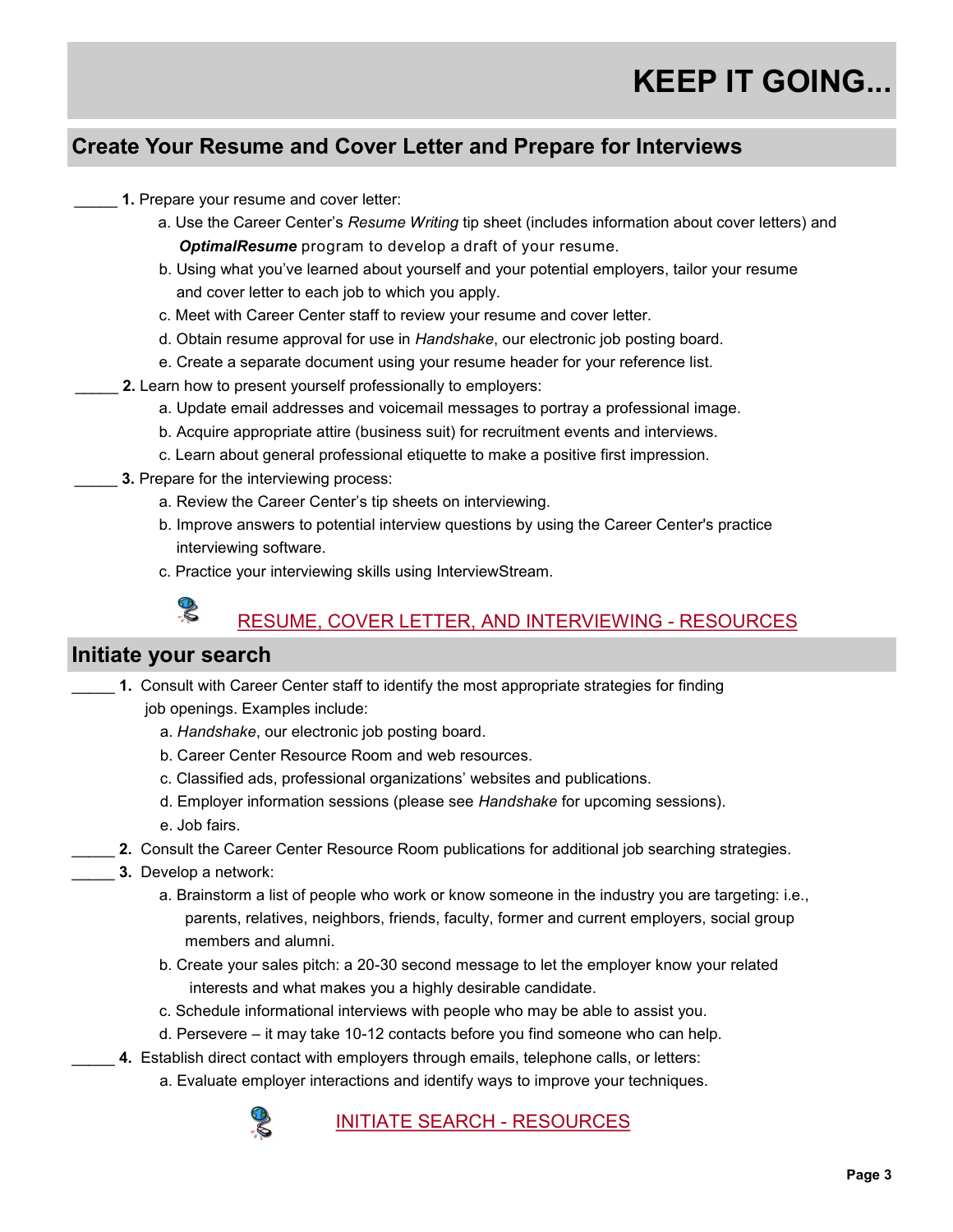# **Create Your Resume and Cover Letter and Prepare for Interviews**

- 1. Prepare your resume and cover letter:
	- a. Use the Career Center's *Resume Writing* tip sheet (includes information about cover letters) and *OptimalResume* program to develop a draft of your resume.
	- b. Using what you've learned about yourself and your potential employers, tailor your resume and cover letter to each job to which you apply.
	- c. Meet with Career Center staff to review your resume and cover letter.
	- d. Obtain resume approval for use in *Handshake*, our electronic job posting board.
	- e. Create a separate document using your resume header for your reference list.
- 2. Learn how to present yourself professionally to employers:
	- a. Update email addresses and voicemail messages to portray a professional image.
	- b. Acquire appropriate attire (business suit) for recruitment events and interviews.
	- c. Learn about general professional etiquette to make a positive first impression.
	- 3. Prepare for the interviewing process:
		- a. Review the Career Center's tip sheets on interviewing.
		- b. Improve answers to potential interview questions by using the Career Center's practice interviewing software.
		- c. Practice your interviewing skills using InterviewStream.

#### RESUME, COVER LETTER, AND INTERVIEWING - RESOURCES

#### **Initiate your search**

R

- 1. Consult with Career Center staff to identify the most appropriate strategies for finding job openings. Examples include:
	- a. *Handshake*, our electronic job posting board.
	- b. Career Center Resource Room and web resources.
	- c. Classified ads, professional organizations' websites and publications.
	- d. Employer information sessions (please see *Handshake* for upcoming sessions). e. Job fairs.
- 2. Consult the Career Center Resource Room publications for additional job searching strategies.
- \_\_\_\_\_ **3.** Develop a network:
	- a. Brainstorm a list of people who work or know someone in the industry you are targeting: i.e., parents, relatives, neighbors, friends, faculty, former and current employers, social group members and alumni.
	- b. Create your sales pitch: a 20-30 second message to let the employer know your related interests and what makes you a highly desirable candidate.
	- c. Schedule informational interviews with people who may be able to assist you.
	- d. Persevere it may take 10-12 contacts before you find someone who can help.
	- 4. Establish direct contact with employers through emails, telephone calls, or letters:
		- a. Evaluate employer interactions and identify ways to improve your techniques.



INITIATE SEARCH - RESOURCES